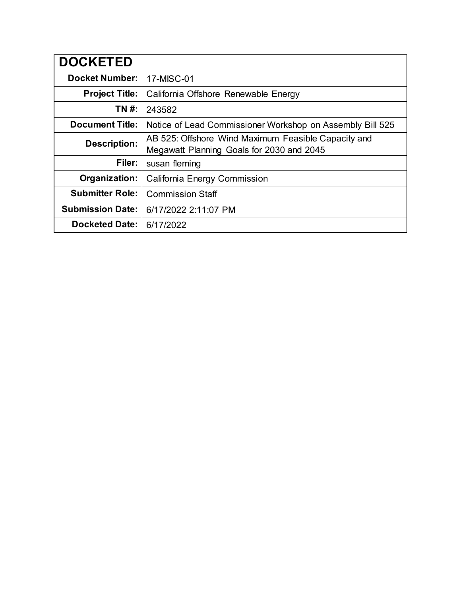| <b>DOCKETED</b>         |                                                                                                  |
|-------------------------|--------------------------------------------------------------------------------------------------|
| <b>Docket Number:</b>   | 17-MISC-01                                                                                       |
| <b>Project Title:</b>   | California Offshore Renewable Energy                                                             |
| TN #:                   | 243582                                                                                           |
| <b>Document Title:</b>  | Notice of Lead Commissioner Workshop on Assembly Bill 525                                        |
| <b>Description:</b>     | AB 525: Offshore Wind Maximum Feasible Capacity and<br>Megawatt Planning Goals for 2030 and 2045 |
| Filer:                  | susan fleming                                                                                    |
| Organization:           | California Energy Commission                                                                     |
| <b>Submitter Role:</b>  | <b>Commission Staff</b>                                                                          |
| <b>Submission Date:</b> | 6/17/2022 2:11:07 PM                                                                             |
| <b>Docketed Date:</b>   | 6/17/2022                                                                                        |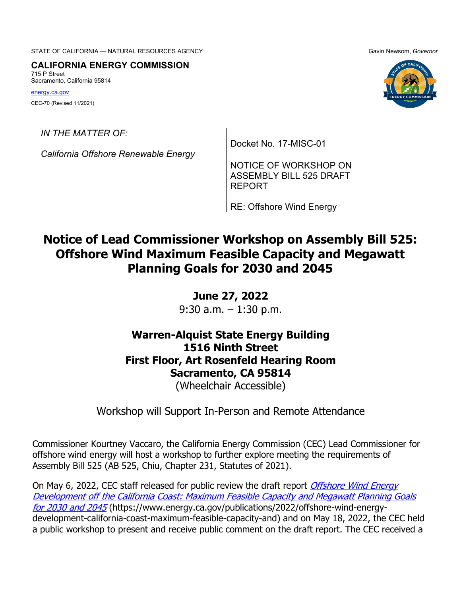STATE OF CALIFORNIA — NATURAL RESOURCES AGENCY **GALICAL STATE OF CALIFORNIA** Gavin Newsom, Governor

**CALIFORNIA ENERGY COMMISSION**

715 P Street Sacramento, California 95814

[energy.ca.gov](http://www.energy.ca.gov/) CEC-70 (Revised 11/2021)



*IN THE MATTER OF:*

*California Offshore Renewable Energy* 

Docket No. 17-MISC-01

NOTICE OF WORKSHOP ON ASSEMBLY BILL 525 DRAFT REPORT

RE: Offshore Wind Energy

# **Notice of Lead Commissioner Workshop on Assembly Bill 525: Offshore Wind Maximum Feasible Capacity and Megawatt Planning Goals for 2030 and 2045**

## **June 27, 2022**

9:30 a.m. – 1:30 p.m.

## **Warren-Alquist State Energy Building 1516 Ninth Street First Floor, Art Rosenfeld Hearing Room Sacramento, CA 95814**

(Wheelchair Accessible)

Workshop will Support In-Person and Remote Attendance

Commissioner Kourtney Vaccaro, the California Energy Commission (CEC) Lead Commissioner for offshore wind energy will host a workshop to further explore meeting the requirements of Assembly Bill 525 (AB 525, Chiu, Chapter 231, Statutes of 2021).

On May 6, 2022, CEC staff released for public review the draft report *Offshore Wind Energy* Development off the California Coast: [Maximum Feasible Capacity and Megawatt Planning Goals](https://www.energy.ca.gov/publications/2022/offshore-wind-energy-development-california-coast-maximum-feasible-capacity-and)  [for 2030 and 2045](https://www.energy.ca.gov/publications/2022/offshore-wind-energy-development-california-coast-maximum-feasible-capacity-and) (https://www.energy.ca.gov/publications/2022/offshore-wind-energydevelopment-california-coast-maximum-feasible-capacity-and) and on May 18, 2022, the CEC held a public workshop to present and receive public comment on the draft report. The CEC received a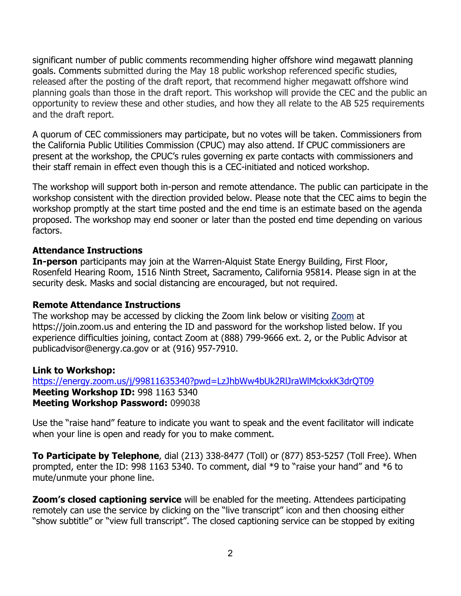significant number of public comments recommending higher offshore wind megawatt planning goals. Comments submitted during the May 18 public workshop referenced specific studies, released after the posting of the draft report, that recommend higher megawatt offshore wind planning goals than those in the draft report. This workshop will provide the CEC and the public an opportunity to review these and other studies, and how they all relate to the AB 525 requirements and the draft report.

A quorum of CEC commissioners may participate, but no votes will be taken. Commissioners from the California Public Utilities Commission (CPUC) may also attend. If CPUC commissioners are present at the workshop, the CPUC's rules governing ex parte contacts with commissioners and their staff remain in effect even though this is a CEC-initiated and noticed workshop.

The workshop will support both in-person and remote attendance. The public can participate in the workshop consistent with the direction provided below. Please note that the CEC aims to begin the workshop promptly at the start time posted and the end time is an estimate based on the agenda proposed. The workshop may end sooner or later than the posted end time depending on various factors.

### **Attendance Instructions**

**In-person** participants may join at the Warren-Alquist State Energy Building, First Floor, Rosenfeld Hearing Room, 1516 Ninth Street, Sacramento, California 95814. Please sign in at the security desk. Masks and social distancing are encouraged, but not required.

### **Remote Attendance Instructions**

The workshop may be accessed by clicking the Zoom link below or visiting [Zoom](https://join.zoom.us/) at https://join.zoom.us and entering the ID and password for the workshop listed below. If you experience difficulties joining, contact Zoom at (888) 799-9666 ext. 2, or the Public Advisor at [publicadvisor@energy.ca.gov](mailto:publicadvisor@energy.ca.gov) or at (916) 957-7910.

### **Link to Workshop:**

<https://energy.zoom.us/j/99811635340?pwd=LzJhbWw4bUk2RlJraWlMckxkK3drQT09> **Meeting Workshop ID:** 998 1163 5340 **Meeting Workshop Password:** 099038

Use the "raise hand" feature to indicate you want to speak and the event facilitator will indicate when your line is open and ready for you to make comment.

**To Participate by Telephone**, dial (213) 338-8477 (Toll) or (877) 853-5257 (Toll Free). When prompted, enter the ID: 998 1163 5340. To comment, dial \*9 to "raise your hand" and \*6 to mute/unmute your phone line.

**Zoom's closed captioning service** will be enabled for the meeting. Attendees participating remotely can use the service by clicking on the "live transcript" icon and then choosing either "show subtitle" or "view full transcript". The closed captioning service can be stopped by exiting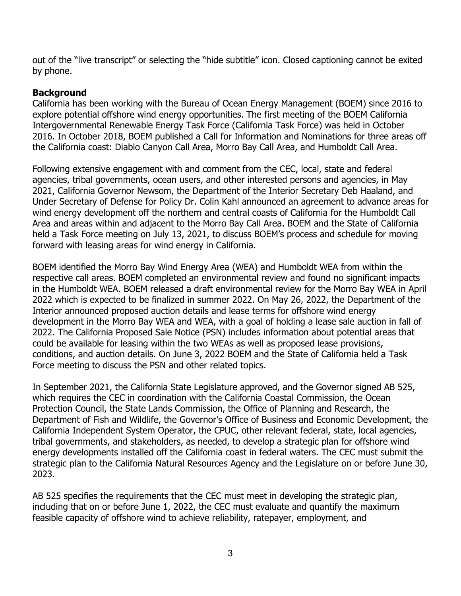out of the "live transcript" or selecting the "hide subtitle" icon. Closed captioning cannot be exited by phone.

### **Background**

California has been working with the Bureau of Ocean Energy Management (BOEM) since 2016 to explore potential offshore wind energy opportunities. The first meeting of the BOEM California Intergovernmental Renewable Energy Task Force (California Task Force) was held in October 2016. In October 2018, BOEM published a Call for Information and Nominations for three areas off the California coast: Diablo Canyon Call Area, Morro Bay Call Area, and Humboldt Call Area.

Following extensive engagement with and comment from the CEC, local, state and federal agencies, tribal governments, ocean users, and other interested persons and agencies, in May 2021, California Governor Newsom, the Department of the Interior Secretary Deb Haaland, and Under Secretary of Defense for Policy Dr. Colin Kahl announced an agreement to advance areas for wind energy development off the northern and central coasts of California for the Humboldt Call Area and areas within and adjacent to the Morro Bay Call Area. BOEM and the State of California held a Task Force meeting on July 13, 2021, to discuss BOEM's process and schedule for moving forward with leasing areas for wind energy in California.

BOEM identified the Morro Bay Wind Energy Area (WEA) and Humboldt WEA from within the respective call areas. BOEM completed an environmental review and found no significant impacts in the Humboldt WEA. BOEM released a draft environmental review for the Morro Bay WEA in April 2022 which is expected to be finalized in summer 2022. On May 26, 2022, the Department of the Interior announced proposed auction details and lease terms for offshore wind energy development in the Morro Bay WEA and WEA, with a goal of holding a lease sale auction in fall of 2022. The California Proposed Sale Notice (PSN) includes information about potential areas that could be available for leasing within the two WEAs as well as proposed lease provisions, conditions, and auction details. On June 3, 2022 BOEM and the State of California held a Task Force meeting to discuss the PSN and other related topics.

In September 2021, the California State Legislature approved, and the Governor signed AB 525, which requires the CEC in coordination with the California Coastal Commission, the Ocean Protection Council, the State Lands Commission, the Office of Planning and Research, the Department of Fish and Wildlife, the Governor's Office of Business and Economic Development, the California Independent System Operator, the CPUC, other relevant federal, state, local agencies, tribal governments, and stakeholders, as needed, to develop a strategic plan for offshore wind energy developments installed off the California coast in federal waters. The CEC must submit the strategic plan to the California Natural Resources Agency and the Legislature on or before June 30, 2023.

AB 525 specifies the requirements that the CEC must meet in developing the strategic plan, including that on or before June 1, 2022, the CEC must evaluate and quantify the maximum feasible capacity of offshore wind to achieve reliability, ratepayer, employment, and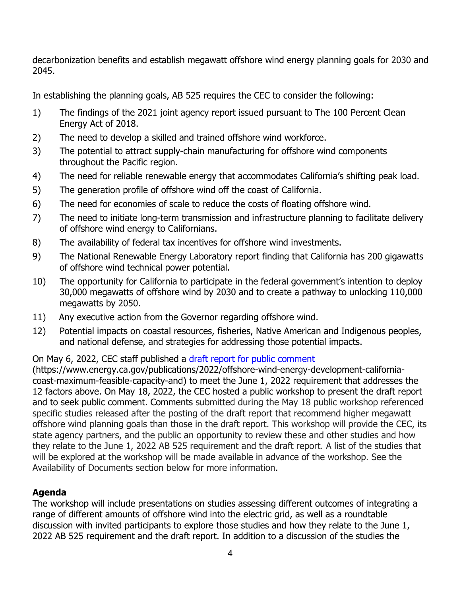decarbonization benefits and establish megawatt offshore wind energy planning goals for 2030 and 2045.

In establishing the planning goals, AB 525 requires the CEC to consider the following:

- 1) The findings of the 2021 joint agency report issued pursuant to The 100 Percent Clean Energy Act of 2018.
- 2) The need to develop a skilled and trained offshore wind workforce.
- 3) The potential to attract supply-chain manufacturing for offshore wind components throughout the Pacific region.
- 4) The need for reliable renewable energy that accommodates California's shifting peak load.
- 5) The generation profile of offshore wind off the coast of California.
- 6) The need for economies of scale to reduce the costs of floating offshore wind.
- 7) The need to initiate long-term transmission and infrastructure planning to facilitate delivery of offshore wind energy to Californians.
- 8) The availability of federal tax incentives for offshore wind investments.
- 9) The National Renewable Energy Laboratory report finding that California has 200 gigawatts of offshore wind technical power potential.
- 10) The opportunity for California to participate in the federal government's intention to deploy 30,000 megawatts of offshore wind by 2030 and to create a pathway to unlocking 110,000 megawatts by 2050.
- 11) Any executive action from the Governor regarding offshore wind.
- 12) Potential impacts on coastal resources, fisheries, Native American and Indigenous peoples, and national defense, and strategies for addressing those potential impacts.

On May 6, 2022, CEC staff published a draft report [for public comment](https://www.energy.ca.gov/publications/2022/offshore-wind-energy-development-california-coast-maximum-feasible-capacity-and)

(https://www.energy.ca.gov/publications/2022/offshore-wind-energy-development-californiacoast-maximum-feasible-capacity-and) to meet the June 1, 2022 requirement that addresses the 12 factors above. On May 18, 2022, the CEC hosted a public workshop to present the draft report and to seek public comment. Comments submitted during the May 18 public workshop referenced specific studies released after the posting of the draft report that recommend higher megawatt offshore wind planning goals than those in the draft report. This workshop will provide the CEC, its state agency partners, and the public an opportunity to review these and other studies and how they relate to the June 1, 2022 AB 525 requirement and the draft report. A list of the studies that will be explored at the workshop will be made available in advance of the workshop. See the Availability of Documents section below for more information.

## **Agenda**

The workshop will include presentations on studies assessing different outcomes of integrating a range of different amounts of offshore wind into the electric grid, as well as a roundtable discussion with invited participants to explore those studies and how they relate to the June 1, 2022 AB 525 requirement and the draft report. In addition to a discussion of the studies the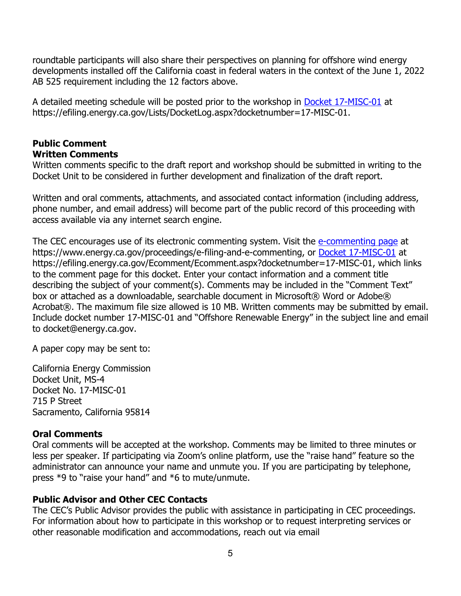roundtable participants will also share their perspectives on planning for offshore wind energy developments installed off the California coast in federal waters in the context of the June 1, 2022 AB 525 requirement including the 12 factors above.

A detailed meeting schedule will be posted prior to the workshop in [Docket 17-MISC-01](https://efiling.energy.ca.gov/Lists/DocketLog.aspx?docketnumber=17-MISC-01) at https://efiling.energy.ca.gov/Lists/DocketLog.aspx?docketnumber=17-MISC-01.

### **Public Comment Written Comments**

Written comments specific to the draft report and workshop should be submitted in writing to the Docket Unit to be considered in further development and finalization of the draft report.

Written and oral comments, attachments, and associated contact information (including address, phone number, and email address) will become part of the public record of this proceeding with access available via any internet search engine.

The CEC encourages use of its electronic commenting system. Visit the [e-commenting page](https://www.energy.ca.gov/proceedings/e-filing-and-e-commenting) at https://www.energy.ca.gov/proceedings/e-filing-and-e-commenting, or [Docket 17-MISC-01](https://efiling.energy.ca.gov/Ecomment/Ecomment.aspx?docketnumber=17-MISC-01) at https://efiling.energy.ca.gov/Ecomment/Ecomment.aspx?docketnumber=17-MISC-01, which links to the comment page for this docket. Enter your contact information and a comment title describing the subject of your comment(s). Comments may be included in the "Comment Text" box or attached as a downloadable, searchable document in Microsoft® Word or Adobe® Acrobat®. The maximum file size allowed is 10 MB. Written comments may be submitted by email. Include docket number 17-MISC-01 and "Offshore Renewable Energy" in the subject line and email to [docket@energy.ca.gov.](mailto:docket@energy.ca.gov)

A paper copy may be sent to:

California Energy Commission Docket Unit, MS-4 Docket No. 17-MISC-01 715 P Street Sacramento, California 95814

### **Oral Comments**

Oral comments will be accepted at the workshop. Comments may be limited to three minutes or less per speaker. If participating via Zoom's online platform, use the "raise hand" feature so the administrator can announce your name and unmute you. If you are participating by telephone, press \*9 to "raise your hand" and \*6 to mute/unmute.

## **Public Advisor and Other CEC Contacts**

The CEC's Public Advisor provides the public with assistance in participating in CEC proceedings. For information about how to participate in this workshop or to request interpreting services or other reasonable modification and accommodations, reach out via email